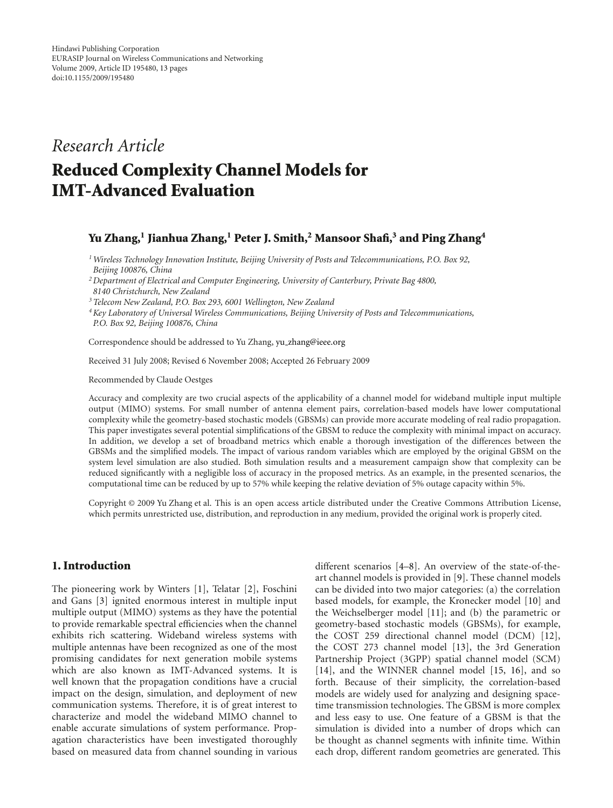# *Research Article* **Reduced Complexity Channel Models for IMT-Advanced Evaluation**

## **Yu Zhang,1 Jianhua Zhang,1 Peter J. Smith,2 Mansoor Shafi,3 and Ping Zhang4**

*1Wireless Technology Innovation Institute, Beijing University of Posts and Telecommunications, P.O. Box 92, Beijing 100876, China*

*2Department of Electrical and Computer Engineering, University of Canterbury, Private Bag 4800,*

- *8140 Christchurch, New Zealand*
- *3Telecom New Zealand, P.O. Box 293, 6001 Wellington, New Zealand*

*4Key Laboratory of Universal Wireless Communications, Beijing University of Posts and Telecommunications, P.O. Box 92, Beijing 100876, China*

Correspondence should be addressed to Yu Zhang, yu zhang@ieee.org

Received 31 July 2008; Revised 6 November 2008; Accepted 26 February 2009

Recommended by Claude Oestges

Accuracy and complexity are two crucial aspects of the applicability of a channel model for wideband multiple input multiple output (MIMO) systems. For small number of antenna element pairs, correlation-based models have lower computational complexity while the geometry-based stochastic models (GBSMs) can provide more accurate modeling of real radio propagation. This paper investigates several potential simplifications of the GBSM to reduce the complexity with minimal impact on accuracy. In addition, we develop a set of broadband metrics which enable a thorough investigation of the differences between the GBSMs and the simplified models. The impact of various random variables which are employed by the original GBSM on the system level simulation are also studied. Both simulation results and a measurement campaign show that complexity can be reduced significantly with a negligible loss of accuracy in the proposed metrics. As an example, in the presented scenarios, the computational time can be reduced by up to 57% while keeping the relative deviation of 5% outage capacity within 5%.

Copyright © 2009 Yu Zhang et al. This is an open access article distributed under the Creative Commons Attribution License, which permits unrestricted use, distribution, and reproduction in any medium, provided the original work is properly cited.

## **1. Introduction**

The pioneering work by Winters [1], Telatar [2], Foschini and Gans [3] ignited enormous interest in multiple input multiple output (MIMO) systems as they have the potential to provide remarkable spectral efficiencies when the channel exhibits rich scattering. Wideband wireless systems with multiple antennas have been recognized as one of the most promising candidates for next generation mobile systems which are also known as IMT-Advanced systems. It is well known that the propagation conditions have a crucial impact on the design, simulation, and deployment of new communication systems. Therefore, it is of great interest to characterize and model the wideband MIMO channel to enable accurate simulations of system performance. Propagation characteristics have been investigated thoroughly based on measured data from channel sounding in various

different scenarios [4–8]. An overview of the state-of-theart channel models is provided in [9]. These channel models can be divided into two major categories: (a) the correlation based models, for example, the Kronecker model [10] and the Weichselberger model [11]; and (b) the parametric or geometry-based stochastic models (GBSMs), for example, the COST 259 directional channel model (DCM) [12], the COST 273 channel model [13], the 3rd Generation Partnership Project (3GPP) spatial channel model (SCM) [14], and the WINNER channel model [15, 16], and so forth. Because of their simplicity, the correlation-based models are widely used for analyzing and designing spacetime transmission technologies. The GBSM is more complex and less easy to use. One feature of a GBSM is that the simulation is divided into a number of drops which can be thought as channel segments with infinite time. Within each drop, different random geometries are generated. This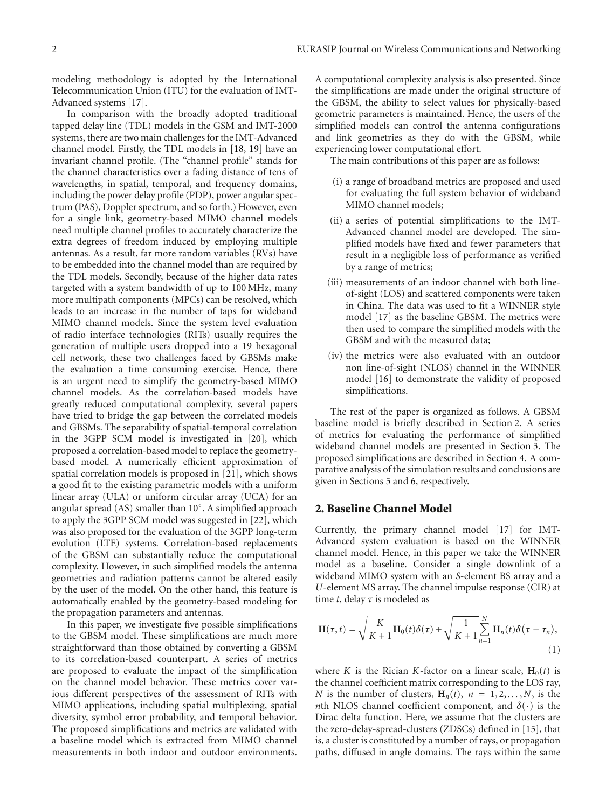modeling methodology is adopted by the International Telecommunication Union (ITU) for the evaluation of IMT-Advanced systems [17].

In comparison with the broadly adopted traditional tapped delay line (TDL) models in the GSM and IMT-2000 systems, there are two main challenges for the IMT-Advanced channel model. Firstly, the TDL models in [18, 19] have an invariant channel profile. (The "channel profile" stands for the channel characteristics over a fading distance of tens of wavelengths, in spatial, temporal, and frequency domains, including the power delay profile (PDP), power angular spectrum (PAS), Doppler spectrum, and so forth.) However, even for a single link, geometry-based MIMO channel models need multiple channel profiles to accurately characterize the extra degrees of freedom induced by employing multiple antennas. As a result, far more random variables (RVs) have to be embedded into the channel model than are required by the TDL models. Secondly, because of the higher data rates targeted with a system bandwidth of up to 100 MHz, many more multipath components (MPCs) can be resolved, which leads to an increase in the number of taps for wideband MIMO channel models. Since the system level evaluation of radio interface technologies (RITs) usually requires the generation of multiple users dropped into a 19 hexagonal cell network, these two challenges faced by GBSMs make the evaluation a time consuming exercise. Hence, there is an urgent need to simplify the geometry-based MIMO channel models. As the correlation-based models have greatly reduced computational complexity, several papers have tried to bridge the gap between the correlated models and GBSMs. The separability of spatial-temporal correlation in the 3GPP SCM model is investigated in [20], which proposed a correlation-based model to replace the geometrybased model. A numerically efficient approximation of spatial correlation models is proposed in [21], which shows a good fit to the existing parametric models with a uniform linear array (ULA) or uniform circular array (UCA) for an angular spread (AS) smaller than 10◦. A simplified approach to apply the 3GPP SCM model was suggested in [22], which was also proposed for the evaluation of the 3GPP long-term evolution (LTE) systems. Correlation-based replacements of the GBSM can substantially reduce the computational complexity. However, in such simplified models the antenna geometries and radiation patterns cannot be altered easily by the user of the model. On the other hand, this feature is automatically enabled by the geometry-based modeling for the propagation parameters and antennas.

In this paper, we investigate five possible simplifications to the GBSM model. These simplifications are much more straightforward than those obtained by converting a GBSM to its correlation-based counterpart. A series of metrics are proposed to evaluate the impact of the simplification on the channel model behavior. These metrics cover various different perspectives of the assessment of RITs with MIMO applications, including spatial multiplexing, spatial diversity, symbol error probability, and temporal behavior. The proposed simplifications and metrics are validated with a baseline model which is extracted from MIMO channel measurements in both indoor and outdoor environments.

A computational complexity analysis is also presented. Since the simplifications are made under the original structure of the GBSM, the ability to select values for physically-based geometric parameters is maintained. Hence, the users of the simplified models can control the antenna configurations and link geometries as they do with the GBSM, while experiencing lower computational effort.

The main contributions of this paper are as follows:

- (i) a range of broadband metrics are proposed and used for evaluating the full system behavior of wideband MIMO channel models;
- (ii) a series of potential simplifications to the IMT-Advanced channel model are developed. The simplified models have fixed and fewer parameters that result in a negligible loss of performance as verified by a range of metrics;
- (iii) measurements of an indoor channel with both lineof-sight (LOS) and scattered components were taken in China. The data was used to fit a WINNER style model [17] as the baseline GBSM. The metrics were then used to compare the simplified models with the GBSM and with the measured data;
- (iv) the metrics were also evaluated with an outdoor non line-of-sight (NLOS) channel in the WINNER model [16] to demonstrate the validity of proposed simplifications.

The rest of the paper is organized as follows. A GBSM baseline model is briefly described in Section 2. A series of metrics for evaluating the performance of simplified wideband channel models are presented in Section 3. The proposed simplifications are described in Section 4. A comparative analysis of the simulation results and conclusions are given in Sections 5 and 6, respectively.

#### **2. Baseline Channel Model**

Currently, the primary channel model [17] for IMT-Advanced system evaluation is based on the WINNER channel model. Hence, in this paper we take the WINNER model as a baseline. Consider a single downlink of a wideband MIMO system with an *S*-element BS array and a *U*-element MS array. The channel impulse response (CIR) at time *t*, delay *τ* is modeled as

$$
\mathbf{H}(\tau,t) = \sqrt{\frac{K}{K+1}} \mathbf{H}_0(t) \delta(\tau) + \sqrt{\frac{1}{K+1}} \sum_{n=1}^N \mathbf{H}_n(t) \delta(\tau - \tau_n),
$$
\n(1)

where *K* is the Rician *K*-factor on a linear scale,  $H_0(t)$  is the channel coefficient matrix corresponding to the LOS ray, *N* is the number of clusters,  $H_n(t)$ ,  $n = 1, 2, \ldots, N$ , is the *n*th NLOS channel coefficient component, and *δ*(·) is the Dirac delta function. Here, we assume that the clusters are the zero-delay-spread-clusters (ZDSCs) defined in [15], that is, a cluster is constituted by a number of rays, or propagation paths, diffused in angle domains. The rays within the same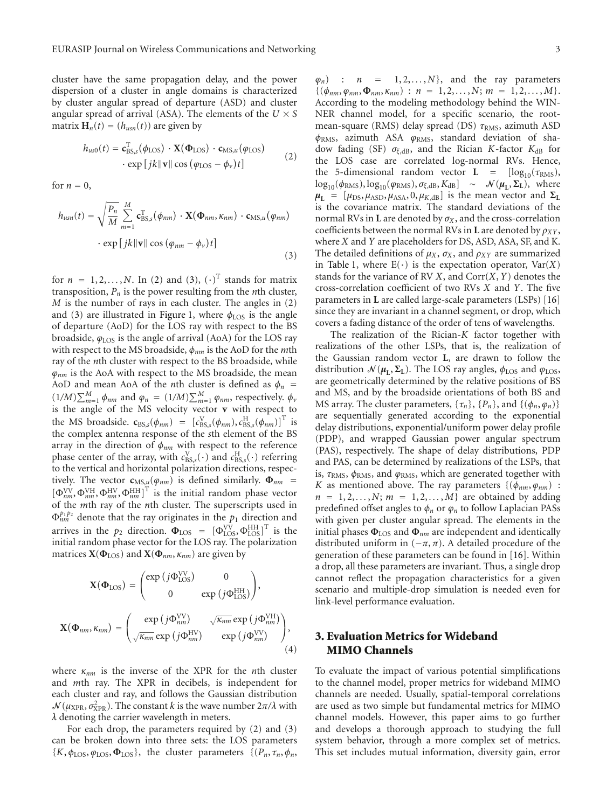cluster have the same propagation delay, and the power dispersion of a cluster in angle domains is characterized by cluster angular spread of departure (ASD) and cluster angular spread of arrival (ASA). The elements of the  $U \times S$ matrix  $\mathbf{H}_n(t) = (h_{usn}(t))$  are given by

$$
h_{us0}(t) = \mathbf{c}_{BS,s}^{\mathrm{T}}(\phi_{LOS}) \cdot \mathbf{X}(\Phi_{LOS}) \cdot \mathbf{c}_{MS,u}(\phi_{LOS})
$$
  
• exp [jk||**v**|| cos (φ<sub>LOS</sub> – φ<sub>v</sub>)t] (2)

for  $n = 0$ ,

$$
h_{usn}(t) = \sqrt{\frac{P_n}{M}} \sum_{m=1}^{M} \mathbf{c}_{BS,s}^{T}(\phi_{nm}) \cdot \mathbf{X}(\Phi_{nm}, \kappa_{nm}) \cdot \mathbf{c}_{MS,u}(\phi_{nm})
$$

$$
\cdot \exp[jk||\mathbf{v}||\cos(\phi_{nm} - \phi_v)t]
$$
(3)

for  $n = 1, 2, \ldots, N$ . In (2) and (3),  $(\cdot)^T$  stands for matrix transposition,  $P_n$  is the power resulting from the *n*th cluster, *M* is the number of rays in each cluster. The angles in (2) and (3) are illustrated in Figure 1, where  $\phi$ <sub>LOS</sub> is the angle of departure (AoD) for the LOS ray with respect to the BS broadside, *ϕ*LOS is the angle of arrival (AoA) for the LOS ray with respect to the MS broadside, *φnm* is the AoD for the *m*th ray of the *n*th cluster with respect to the BS broadside, while *ϕnm* is the AoA with respect to the MS broadside, the mean AoD and mean AoA of the *n*th cluster is defined as  $\phi_n$  =  $(1/M)\sum_{m=1}^{M} \phi_{nm}$  and  $\varphi_n = (1/M)\sum_{m=1}^{M} \varphi_{nm}$ , respectively.  $\phi_v$ is the angle of the MS velocity vector **v** with respect to the MS broadside.  $\mathbf{c}_{BS,s}(\phi_{nm}) = [c_{BS,s}^V(\phi_{nm}), c_{BS,s}^H(\phi_{nm})]^T$  is the complex antenna response of the *s*th element of the BS array in the direction of  $\phi_{nm}$  with respect to the reference phase center of the array, with  $c_{\text{BS},s}^V(\cdot)$  and  $c_{\text{BS},s}^H(\cdot)$  referring to the vertical and horizontal polarization directions, respectively. The vector  $\mathbf{c}_{MS,u}(\varphi_{nm})$  is defined similarly.  $\Phi_{nm}$  =  $\left[\Phi_{nm}^{\text{VV}}, \Phi_{nm}^{\text{HH}}, \Phi_{nm}^{\text{HH}}, \Phi_{nm}^{\text{HH}}\right]^{\text{T}}$  is the initial random phase vector of the *m*th ray of the *n*th cluster. The superscripts used in  $\Phi_{nm}^{p_1p_2}$  denote that the ray originates in the  $p_1$  direction and arrives in the  $p_2$  direction.  $\Phi_{\text{LOS}} = [\Phi_{\text{LOS}}^{\text{VV}}, \Phi_{\text{LOS}}^{\text{HH}}]^{\text{T}}$  is the initial random phase vector for the LOS ray. The polarization matrices  $X(\Phi_{LOS})$  and  $X(\Phi_{nm}, \kappa_{nm})$  are given by

$$
\mathbf{X}(\mathbf{\Phi}_{\text{LOS}}) = \begin{pmatrix} \exp(j\Phi_{\text{LOS}}^{\text{VV}}) & 0 \\ 0 & \exp(j\Phi_{\text{LOS}}^{\text{HH}}) \end{pmatrix},
$$

$$
\mathbf{X}(\mathbf{\Phi}_{nm}, \kappa_{nm}) = \begin{pmatrix} \exp(j\Phi_{nm}^{\text{VV}}) & \sqrt{\kappa_{nm}} \exp(j\Phi_{nm}^{\text{VH}}) \\ \sqrt{\kappa_{nm}} \exp(j\Phi_{nm}^{\text{HV}}) & \exp(j\Phi_{nm}^{\text{VV}}) \end{pmatrix},
$$
(4)

where *κnm* is the inverse of the XPR for the *n*th cluster and *m*th ray. The XPR in decibels, is independent for each cluster and ray, and follows the Gaussian distribution  $\mathcal{N}(\mu_{\text{XPR}}, \sigma_{\text{XPR}}^2)$ . The constant *k* is the wave number  $2\pi/\lambda$  with *λ* denoting the carrier wavelength in meters.

For each drop, the parameters required by (2) and (3) can be broken down into three sets: the LOS parameters  ${K, \phi_{\text{LOS}}, \phi_{\text{LOS}}, \Phi_{\text{LOS}}},$  the cluster parameters  ${P_n, \tau_n, \phi_n, \phi_{\text{LOS}}}$ 

 $\varphi_n$  : *n* = 1, 2, ..., *N*}, and the ray parameters  $\{(\phi_{nm}, \phi_{nm}, \Phi_{nm}, \kappa_{nm}) : n = 1, 2, \ldots, N; m = 1, 2, \ldots, M\}.$ According to the modeling methodology behind the WIN-NER channel model, for a specific scenario, the rootmean-square (RMS) delay spread (DS)  $τ<sub>RMS</sub>$ , azimuth ASD *φ*RMS, azimuth ASA *ϕ*RMS, standard deviation of shadow fading (SF) *σξ*,dB, and the Rician *K*-factor *K*dB for the LOS case are correlated log-normal RVs. Hence, the 5-dimensional random vector **L** =  $[\log_{10}(\tau_{RMS}))$ ,  $\log_{10}(\phi_{RMS}), \log_{10}(\phi_{RMS}), \sigma_{\xi, dB}, K_{dB}$  ~  $\mathcal{N}(\mu_L, \Sigma_L)$ , where  $\mu_{\rm L}$  = [ $\mu_{\rm DS}, \mu_{\rm ASD}, \mu_{\rmASA}, 0, \mu_{K, \rm dB}$ ] is the mean vector and  $\Sigma_{\rm L}$ is the covariance matrix. The standard deviations of the normal RVs in **L** are denoted by  $\sigma_X$ , and the cross-correlation coefficients between the normal RVs in **L** are denoted by  $\rho_{XY}$ , where *X* and *Y* are placeholders for DS, ASD, ASA, SF, and K. The detailed definitions of  $\mu_X$ ,  $\sigma_X$ , and  $\rho_{XY}$  are summarized in Table 1, where  $E(\cdot)$  is the expectation operator,  $Var(X)$ stands for the variance of RV *X*, and Corr(*X*,*Y*) denotes the cross-correlation coefficient of two RVs *X* and *Y*. The five parameters in **L** are called large-scale parameters (LSPs) [16] since they are invariant in a channel segment, or drop, which covers a fading distance of the order of tens of wavelengths.

The realization of the Rician-*K* factor together with realizations of the other LSPs, that is, the realization of the Gaussian random vector **L**, are drawn to follow the distribution  $\mathcal{N}(\mu_{\text{L}}, \Sigma_{\text{L}})$ . The LOS ray angles,  $\phi_{\text{LOS}}$  and  $\phi_{\text{LOS}}$ , are geometrically determined by the relative positions of BS and MS, and by the broadside orientations of both BS and MS array. The cluster parameters,  $\{\tau_n\}$ ,  $\{P_n\}$ , and  $\{\phi_n, \phi_n\}$ are sequentially generated according to the exponential delay distributions, exponential/uniform power delay profile (PDP), and wrapped Gaussian power angular spectrum (PAS), respectively. The shape of delay distributions, PDP and PAS, can be determined by realizations of the LSPs, that is, *τ*RMS, *φ*RMS, and *ϕ*RMS, which are generated together with *K* as mentioned above. The ray parameters  $\{(\phi_{nm}, \phi_{nm})\}$ :  $n = 1, 2, \ldots, N; m = 1, 2, \ldots, M$  are obtained by adding predefined offset angles to *φn* or *ϕn* to follow Laplacian PASs with given per cluster angular spread. The elements in the initial phases **Φ**LOS and **Φ***nm* are independent and identically distributed uniform in  $(-\pi, \pi)$ . A detailed procedure of the generation of these parameters can be found in [16]. Within a drop, all these parameters are invariant. Thus, a single drop cannot reflect the propagation characteristics for a given scenario and multiple-drop simulation is needed even for link-level performance evaluation.

# **3. Evaluation Metrics for Wideband MIMO Channels**

To evaluate the impact of various potential simplifications to the channel model, proper metrics for wideband MIMO channels are needed. Usually, spatial-temporal correlations are used as two simple but fundamental metrics for MIMO channel models. However, this paper aims to go further and develops a thorough approach to studying the full system behavior, through a more complex set of metrics. This set includes mutual information, diversity gain, error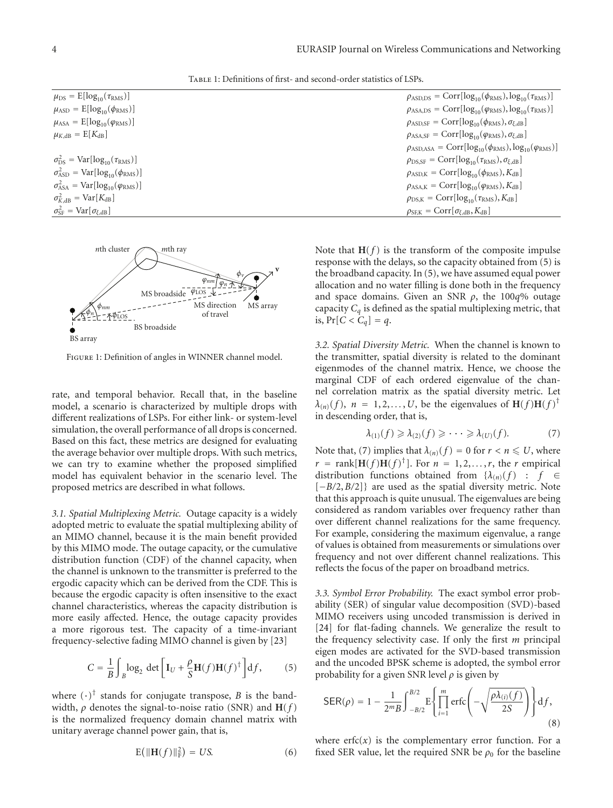Table 1: Definitions of first- and second-order statistics of LSPs.

| $\mu_{DS} = E[log_{10}(\tau_{RMS})]$                                  | $\rho_{ASD,DS} = Corr[log_{10}(\phi_{RMS}), log_{10}(\tau_{RMS})]$                                  |
|-----------------------------------------------------------------------|-----------------------------------------------------------------------------------------------------|
| $\mu_{ASD} = E[log_{10}(\phi_{RMS})]$                                 | $\rho_{\text{ASA,DS}} = \text{Corr}[\log_{10}(\varphi_{\text{RMS}}), \log_{10}(\tau_{\text{RMS}})]$ |
| $\mu_{\text{ASA}} = E[\log_{10}(\varphi_{\text{RMS}})]$               | $\rho_{ASD, SF} = Corr[log_{10}(\phi_{RMS}), \sigma_{\xi, dB}]$                                     |
| $\mu_{K, \text{dB}} = E[K_{\text{dB}}]$                               | $\rho_{\text{ASA,SF}} = \text{Corr}[\log_{10}(\varphi_{\text{RMS}}), \sigma_{\xi, \text{dB}}]$      |
|                                                                       | $\rho_{\text{ASD,ASA}} = \text{Corr}[\log_{10}(\phi_{\text{RMS}}), \log_{10}(\phi_{\text{RMS}})]$   |
| $\sigma_{\text{DS}}^2 = \text{Var}[\log_{10}(\tau_{\text{RMS}})]$     | $\rho_{\text{DS,SF}} = \text{Corr}[\log_{10}(\tau_{\text{RMS}}), \sigma_{\xi, \text{dB}}]$          |
| $\sigma_{ASD}^2 = \text{Var}[\log_{10}(\phi_{RMS})]$                  | $\rho_{ASD,K} = Corr[log_{10}(\phi_{RMS}), K_{dB}]$                                                 |
| $\sigma_{\text{ASA}}^2 = \text{Var}[\log_{10}(\varphi_{\text{RMS}})]$ | $\rho_{\text{ASA,K}} = \text{Corr}[\log_{10}(\varphi_{\text{RMS}}), K_{\text{dB}}]$                 |
| $\sigma_{K, dB}^2 = \text{Var}[K_{dB}]$                               | $\rho_{\text{DS,K}} = \text{Corr}[\log_{10}(\tau_{\text{RMS}}), K_{\text{dB}}]$                     |
| $\sigma_{\rm SF}^2 = \text{Var}[\sigma_{\xi, dB}]$                    | $\rho_{\text{SFR}} = \text{Corr}[\sigma_{\xi, dB}, K_{\text{dB}}]$                                  |



Figure 1: Definition of angles in WINNER channel model.

rate, and temporal behavior. Recall that, in the baseline model, a scenario is characterized by multiple drops with different realizations of LSPs. For either link- or system-level simulation, the overall performance of all drops is concerned. Based on this fact, these metrics are designed for evaluating the average behavior over multiple drops. With such metrics, we can try to examine whether the proposed simplified model has equivalent behavior in the scenario level. The proposed metrics are described in what follows.

*3.1. Spatial Multiplexing Metric.* Outage capacity is a widely adopted metric to evaluate the spatial multiplexing ability of an MIMO channel, because it is the main benefit provided by this MIMO mode. The outage capacity, or the cumulative distribution function (CDF) of the channel capacity, when the channel is unknown to the transmitter is preferred to the ergodic capacity which can be derived from the CDF. This is because the ergodic capacity is often insensitive to the exact channel characteristics, whereas the capacity distribution is more easily affected. Hence, the outage capacity provides a more rigorous test. The capacity of a time-invariant frequency-selective fading MIMO channel is given by [23]

$$
C = \frac{1}{B} \int_{B} \log_2 \, \det \left[ \mathbf{I}_U + \frac{\rho}{S} \mathbf{H}(f) \mathbf{H}(f)^{\dagger} \right] \mathrm{d}f,\tag{5}
$$

where  $(\cdot)$ <sup>T</sup> stands for conjugate transpose, *B* is the bandwidth,  $\rho$  denotes the signal-to-noise ratio (SNR) and  $H(f)$ is the normalized frequency domain channel matrix with unitary average channel power gain, that is,

$$
E(||H(f)||_F^2) = US.
$$
 (6)

Note that  $H(f)$  is the transform of the composite impulse response with the delays, so the capacity obtained from (5) is the broadband capacity. In (5), we have assumed equal power allocation and no water filling is done both in the frequency and space domains. Given an SNR *ρ*, the 100*q*% outage capacity *Cq* is defined as the spatial multiplexing metric, that is,  $Pr[C < C_q] = q$ .

*3.2. Spatial Diversity Metric.* When the channel is known to the transmitter, spatial diversity is related to the dominant eigenmodes of the channel matrix. Hence, we choose the marginal CDF of each ordered eigenvalue of the channel correlation matrix as the spatial diversity metric. Let  $\lambda_{(n)}(f)$ ,  $n = 1, 2, \ldots, U$ , be the eigenvalues of  $\mathbf{H}(f) \mathbf{H}(f)$ <sup>T</sup> in descending order, that is,

$$
\lambda_{(1)}(f) \geqslant \lambda_{(2)}(f) \geqslant \cdots \geqslant \lambda_{(U)}(f). \tag{7}
$$

Note that, (7) implies that  $\lambda(n)(f) = 0$  for  $r < n \le U$ , where  $r = \text{rank}[\mathbf{H}(f)\mathbf{H}(f)^{\top}]$ . For  $n = 1, 2, ..., r$ , the *r* empirical distribution functions obtained from  $\{\lambda_{(n)}(f) : f \in$ [−*B/*2, *B/*2]} are used as the spatial diversity metric. Note that this approach is quite unusual. The eigenvalues are being considered as random variables over frequency rather than over different channel realizations for the same frequency. For example, considering the maximum eigenvalue, a range of values is obtained from measurements or simulations over frequency and not over different channel realizations. This reflects the focus of the paper on broadband metrics.

*3.3. Symbol Error Probability.* The exact symbol error probability (SER) of singular value decomposition (SVD)-based MIMO receivers using uncoded transmission is derived in [24] for flat-fading channels. We generalize the result to the frequency selectivity case. If only the first *m* principal eigen modes are activated for the SVD-based transmission and the uncoded BPSK scheme is adopted, the symbol error probability for a given SNR level *ρ* is given by

$$
\text{SER}(\rho) = 1 - \frac{1}{2^m B} \int_{-B/2}^{B/2} E \left\{ \prod_{i=1}^m \text{erfc} \left( -\sqrt{\frac{\rho \lambda_{(i)}(f)}{2S}} \right) \right\} df,
$$
\n(8)

where  $erfc(x)$  is the complementary error function. For a fixed SER value, let the required SNR be  $\rho_0$  for the baseline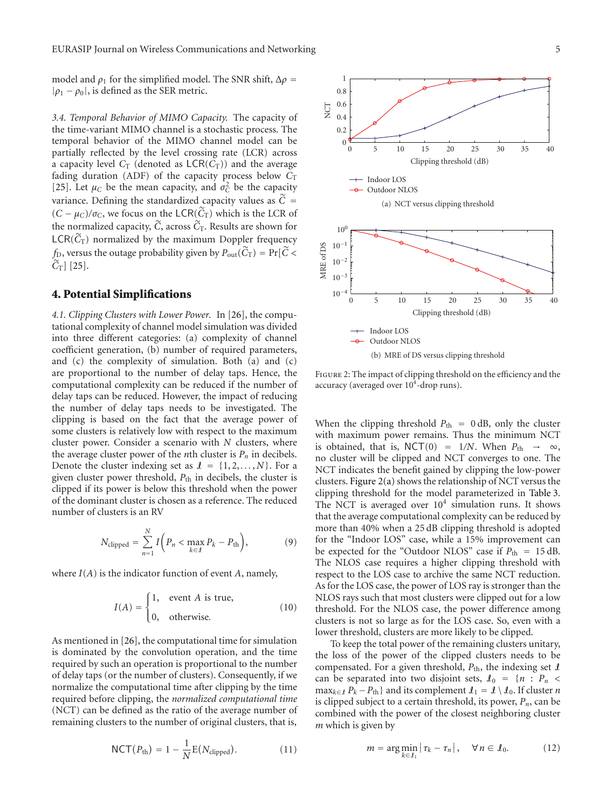model and  $\rho_1$  for the simplified model. The SNR shift,  $\Delta \rho$  =  $|\rho_1 - \rho_0|$ , is defined as the SER metric.

*3.4. Temporal Behavior of MIMO Capacity.* The capacity of the time-variant MIMO channel is a stochastic process. The temporal behavior of the MIMO channel model can be partially reflected by the level crossing rate (LCR) across a capacity level  $C_T$  (denoted as  $\mathsf{LCR}(C_T)$ ) and the average fading duration (ADF) of the capacity process below  $C_T$ [25]. Let  $\mu_C$  be the mean capacity, and  $\sigma_C^2$  be the capacity variance. Defining the standardized capacity values as  $\tilde{C}$  =  $(C - \mu_C)/\sigma_C$ , we focus on the LCR( $\widetilde{C}_T$ ) which is the LCR of the normalized capacity,  $\tilde{C}$ , across  $\tilde{C}_T$ . Results are shown for  $LCR(\widetilde{C}_T)$  normalized by the maximum Doppler frequency *f*<sub>D</sub>, versus the outage probability given by  $P_{out}(\widetilde{C}_T) = Pr[\widetilde{C}$  $\widetilde{C}_{T}$  [25].

### **4. Potential Simplifications**

*4.1. Clipping Clusters with Lower Power.* In [26], the computational complexity of channel model simulation was divided into three different categories: (a) complexity of channel coefficient generation, (b) number of required parameters, and (c) the complexity of simulation. Both (a) and (c) are proportional to the number of delay taps. Hence, the computational complexity can be reduced if the number of delay taps can be reduced. However, the impact of reducing the number of delay taps needs to be investigated. The clipping is based on the fact that the average power of some clusters is relatively low with respect to the maximum cluster power. Consider a scenario with *N* clusters, where the average cluster power of the *n*th cluster is  $P_n$  in decibels. Denote the cluster indexing set as  $\mathcal{I} = \{1, 2, ..., N\}$ . For a given cluster power threshold,  $P_{\text{th}}$  in decibels, the cluster is clipped if its power is below this threshold when the power of the dominant cluster is chosen as a reference. The reduced number of clusters is an RV

$$
N_{\text{clipped}} = \sum_{n=1}^{N} I\left(P_n < \max_{k \in I} P_k - P_{\text{th}}\right),\tag{9}
$$

where *I*(*A*) is the indicator function of event *A*, namely,

$$
I(A) = \begin{cases} 1, & \text{event } A \text{ is true,} \\ 0, & \text{otherwise.} \end{cases}
$$
 (10)

As mentioned in [26], the computational time for simulation is dominated by the convolution operation, and the time required by such an operation is proportional to the number of delay taps (or the number of clusters). Consequently, if we normalize the computational time after clipping by the time required before clipping, the *normalized computational time* (NCT) can be defined as the ratio of the average number of remaining clusters to the number of original clusters, that is,

$$
NCT(P_{th}) = 1 - \frac{1}{N}E(N_{clipped}).
$$
 (11)



Figure 2: The impact of clipping threshold on the efficiency and the accuracy (averaged over 10<sup>4</sup>-drop runs).

When the clipping threshold  $P_{\text{th}} = 0$  dB, only the cluster with maximum power remains. Thus the minimum NCT is obtained, that is, NCT(0) =  $1/N$ . When  $P_{\text{th}} \rightarrow \infty$ , no cluster will be clipped and NCT converges to one. The NCT indicates the benefit gained by clipping the low-power clusters. Figure  $2(a)$  shows the relationship of NCT versus the clipping threshold for the model parameterized in Table 3. The NCT is averaged over  $10^4$  simulation runs. It shows that the average computational complexity can be reduced by more than 40% when a 25 dB clipping threshold is adopted for the "Indoor LOS" case, while a 15% improvement can be expected for the "Outdoor NLOS" case if  $P_{\text{th}} = 15$  dB. The NLOS case requires a higher clipping threshold with respect to the LOS case to archive the same NCT reduction. As for the LOS case, the power of LOS ray is stronger than the NLOS rays such that most clusters were clipped out for a low threshold. For the NLOS case, the power difference among clusters is not so large as for the LOS case. So, even with a lower threshold, clusters are more likely to be clipped.

To keep the total power of the remaining clusters unitary, the loss of the power of the clipped clusters needs to be compensated. For a given threshold,  $P_{\text{th}}$ , the indexing set  $\bm{\mathcal{I}}$ can be separated into two disjoint sets,  $\mathcal{L}_0 = \{n : P_n$ max<sub>*k*∈*I*</sub>  $P_k - P_{th}$ } and its complement  $I_1 = I \setminus I_0$ . If cluster *n* is clipped subject to a certain threshold, its power, *Pn*, can be combined with the power of the closest neighboring cluster *m* which is given by

$$
m = \arg\min_{k \in I_1} |\tau_k - \tau_n|, \quad \forall n \in I_0. \tag{12}
$$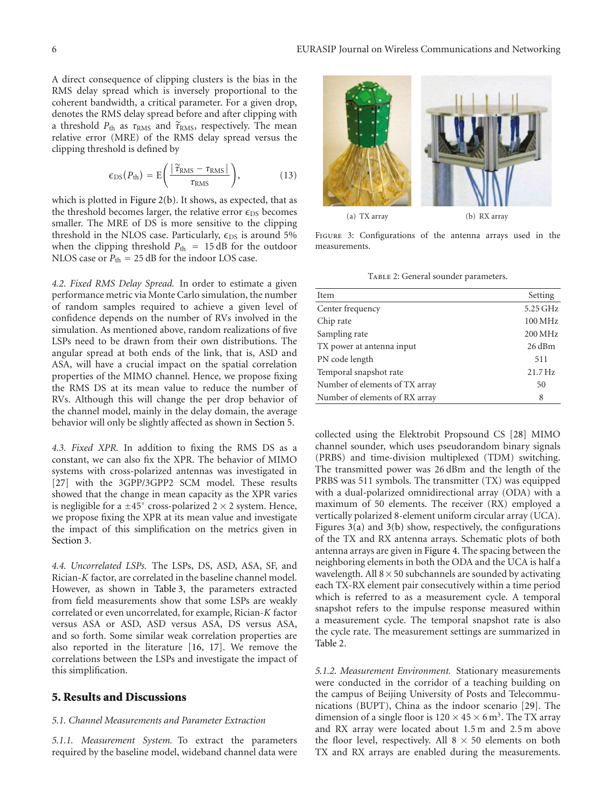A direct consequence of clipping clusters is the bias in the RMS delay spread which is inversely proportional to the coherent bandwidth, a critical parameter. For a given drop, denotes the RMS delay spread before and after clipping with a threshold  $P_{\text{th}}$  as  $\tau_{\text{RMS}}$  and  $\tilde{\tau}_{\text{RMS}}$ , respectively. The mean relative error (MRE) of the RMS delay spread versus the clipping threshold is defined by

$$
\epsilon_{\rm DS}(P_{\rm th}) = \mathrm{E}\bigg(\frac{|\widetilde{\tau}_{\rm RMS} - \tau_{\rm RMS}|}{\tau_{\rm RMS}}\bigg),\tag{13}
$$

which is plotted in Figure 2(b). It shows, as expected, that as the threshold becomes larger, the relative error  $\epsilon_{\text{DS}}$  becomes smaller. The MRE of DS is more sensitive to the clipping threshold in the NLOS case. Particularly,  $\epsilon_{DS}$  is around 5% when the clipping threshold  $P_{\text{th}} = 15$  dB for the outdoor NLOS case or  $P_{\text{th}} = 25$  dB for the indoor LOS case.

*4.2. Fixed RMS Delay Spread.* In order to estimate a given performance metric via Monte Carlo simulation, the number of random samples required to achieve a given level of confidence depends on the number of RVs involved in the simulation. As mentioned above, random realizations of five LSPs need to be drawn from their own distributions. The angular spread at both ends of the link, that is, ASD and ASA, will have a crucial impact on the spatial correlation properties of the MIMO channel. Hence, we propose fixing the RMS DS at its mean value to reduce the number of RVs. Although this will change the per drop behavior of the channel model, mainly in the delay domain, the average behavior will only be slightly affected as shown in Section 5.

*4.3. Fixed XPR.* In addition to fixing the RMS DS as a constant, we can also fix the XPR. The behavior of MIMO systems with cross-polarized antennas was investigated in [27] with the 3GPP/3GPP2 SCM model. These results showed that the change in mean capacity as the XPR varies is negligible for a  $\pm 45^{\circ}$  cross-polarized 2 × 2 system. Hence, we propose fixing the XPR at its mean value and investigate the impact of this simplification on the metrics given in Section 3.

*4.4. Uncorrelated LSPs.* The LSPs, DS, ASD, ASA, SF, and Rician-*K* factor, are correlated in the baseline channel model. However, as shown in Table 3, the parameters extracted from field measurements show that some LSPs are weakly correlated or even uncorrelated, for example, Rician-*K* factor versus ASA or ASD, ASD versus ASA, DS versus ASA, and so forth. Some similar weak correlation properties are also reported in the literature [16, 17]. We remove the correlations between the LSPs and investigate the impact of this simplification.

#### **5. Results and Discussions**

#### *5.1. Channel Measurements and Parameter Extraction*

*5.1.1. Measurement System.* To extract the parameters required by the baseline model, wideband channel data were



FIGURE 3: Configurations of the antenna arrays used in the measurements.

TABLE 2: General sounder parameters.

| Item                           | Setting             |
|--------------------------------|---------------------|
| Center frequency               | 5.25 GHz            |
| Chip rate                      | $100 \mathrm{MHz}$  |
| Sampling rate                  | $200 \mathrm{MHz}$  |
| TX power at antenna input      | 26 dBm              |
| PN code length                 | 511                 |
| Temporal snapshot rate         | $21.7\,\mathrm{Hz}$ |
| Number of elements of TX array | 50                  |
| Number of elements of RX array | 8                   |

collected using the Elektrobit Propsound CS [28] MIMO channel sounder, which uses pseudorandom binary signals (PRBS) and time-division multiplexed (TDM) switching. The transmitted power was 26 dBm and the length of the PRBS was 511 symbols. The transmitter (TX) was equipped with a dual-polarized omnidirectional array (ODA) with a maximum of 50 elements. The receiver (RX) employed a vertically polarized 8-element uniform circular array (UCA). Figures  $3(a)$  and  $3(b)$  show, respectively, the configurations of the TX and RX antenna arrays. Schematic plots of both antenna arrays are given in Figure 4. The spacing between the neighboring elements in both the ODA and the UCA is half a wavelength. All  $8 \times 50$  subchannels are sounded by activating each TX-RX element pair consecutively within a time period which is referred to as a measurement cycle. A temporal snapshot refers to the impulse response measured within a measurement cycle. The temporal snapshot rate is also the cycle rate. The measurement settings are summarized in Table 2.

*5.1.2. Measurement Environment.* Stationary measurements were conducted in the corridor of a teaching building on the campus of Beijing University of Posts and Telecommunications (BUPT), China as the indoor scenario [29]. The dimension of a single floor is  $120 \times 45 \times 6$  m<sup>3</sup>. The TX array and RX array were located about 1*.*5 m and 2*.*5 m above the floor level, respectively. All  $8 \times 50$  elements on both TX and RX arrays are enabled during the measurements.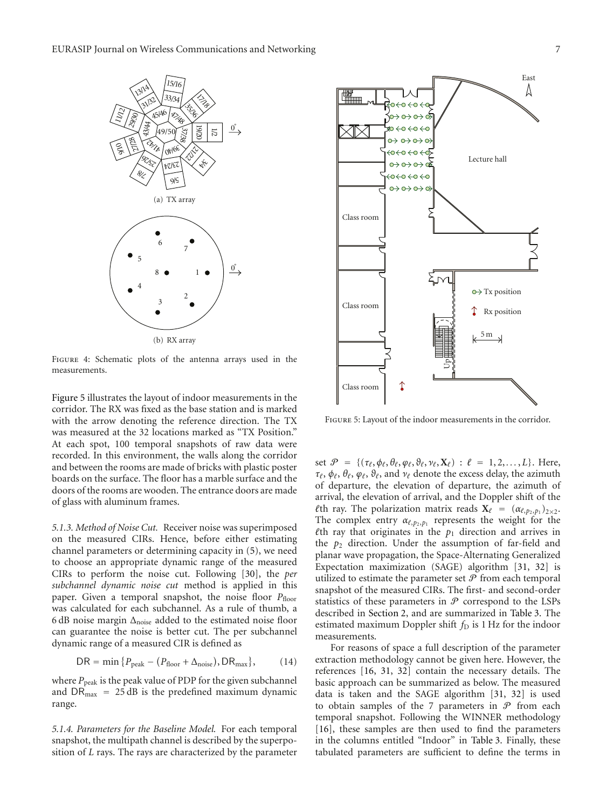

Figure 4: Schematic plots of the antenna arrays used in the measurements.

Figure 5 illustrates the layout of indoor measurements in the corridor. The RX was fixed as the base station and is marked with the arrow denoting the reference direction. The TX was measured at the 32 locations marked as "TX Position." At each spot, 100 temporal snapshots of raw data were recorded. In this environment, the walls along the corridor and between the rooms are made of bricks with plastic poster boards on the surface. The floor has a marble surface and the doors of the rooms are wooden. The entrance doors are made of glass with aluminum frames.

*5.1.3. Method of Noise Cut.* Receiver noise was superimposed on the measured CIRs. Hence, before either estimating channel parameters or determining capacity in (5), we need to choose an appropriate dynamic range of the measured CIRs to perform the noise cut. Following [30], the *per subchannel dynamic noise cut* method is applied in this paper. Given a temporal snapshot, the noise floor  $P_{\text{floor}}$ was calculated for each subchannel. As a rule of thumb, a 6 dB noise margin Δnoise added to the estimated noise floor can guarantee the noise is better cut. The per subchannel dynamic range of a measured CIR is defined as

$$
DR = \min \{ P_{\text{peak}} - (P_{\text{floor}} + \Delta_{\text{noise}}), DR_{\text{max}} \},\tag{14}
$$

where  $P_{peak}$  is the peak value of PDP for the given subchannel and  $DR<sub>max</sub> = 25 dB$  is the predefined maximum dynamic range.

*5.1.4. Parameters for the Baseline Model.* For each temporal snapshot, the multipath channel is described by the superposition of *L* rays. The rays are characterized by the parameter



Figure 5: Layout of the indoor measurements in the corridor.

set  $\mathcal{P} = \{(\tau_{\ell}, \phi_{\ell}, \theta_{\ell}, \phi_{\ell}, \vartheta_{\ell}, \nu_{\ell}, \mathbf{X}_{\ell}) : \ell = 1, 2, \ldots, L\}$ . Here, *τ*<sub>*ε*</sub>,  $\phi$ <sub>*ε*</sub>,  $\theta$ <sub>*ε*</sub>,  $\phi$ <sub>*ε*</sub>,  $\theta$ <sub>*ε*</sub>, and *ν*<sub>*ε*</sub> denote the excess delay, the azimuth of departure, the elevation of departure, the azimuth of arrival, the elevation of arrival, and the Doppler shift of the *t*th ray. The polarization matrix reads  $X_{\ell} = (\alpha_{\ell, p_2, p_1})_{2 \times 2}$ . The complex entry  $\alpha_{\ell, p_2, p_1}$  represents the weight for the  $\ell$ th ray that originates in the  $p_1$  direction and arrives in the  $p_2$  direction. Under the assumption of far-field and planar wave propagation, the Space-Alternating Generalized Expectation maximization (SAGE) algorithm [31, 32] is utilized to estimate the parameter set  $P$  from each temporal snapshot of the measured CIRs. The first- and second-order statistics of these parameters in  $P$  correspond to the LSPs described in Section 2, and are summarized in Table 3. The estimated maximum Doppler shift  $f<sub>D</sub>$  is 1 Hz for the indoor measurements.

For reasons of space a full description of the parameter extraction methodology cannot be given here. However, the references [16, 31, 32] contain the necessary details. The basic approach can be summarized as below. The measured data is taken and the SAGE algorithm [31, 32] is used to obtain samples of the 7 parameters in  $P$  from each temporal snapshot. Following the WINNER methodology [16], these samples are then used to find the parameters in the columns entitled "Indoor" in Table 3. Finally, these tabulated parameters are sufficient to define the terms in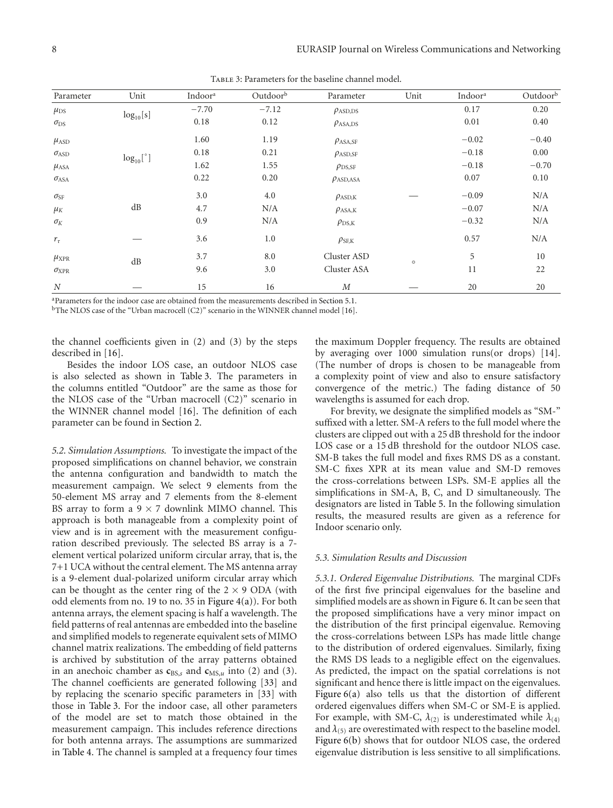| Parameter               | Unit           | Indoora | Outdoorb | Parameter                  | Unit    | Indoor <sup>a</sup> | Outdoorb |
|-------------------------|----------------|---------|----------|----------------------------|---------|---------------------|----------|
| $\mu_{DS}$              |                | $-7.70$ | $-7.12$  | $\rho$ <sub>ASD,DS</sub>   |         | 0.17                | 0.20     |
| $\sigma_{DS}$           | $log_{10}[s]$  | 0.18    | 0.12     | $\rho$ <sub>ASA,DS</sub>   |         | 0.01                | 0.40     |
| $\mu_{ASD}$             |                | 1.60    | 1.19     | $\rho$ <sub>ASA,SF</sub>   |         | $-0.02$             | $-0.40$  |
| $\sigma$ <sub>ASD</sub> | $log_{10} [°]$ | 0.18    | 0.21     | $\rho$ <sub>ASD</sub> , SF |         | $-0.18$             | 0.00     |
| $\mu_{ASA}$             |                | 1.62    | 1.55     | $\rho_{\text{DS,SF}}$      |         | $-0.18$             | $-0.70$  |
| $\sigma$ <sub>ASA</sub> |                | 0.22    | 0.20     | $\rho$ ASD, ASA            |         | 0.07                | 0.10     |
| $\sigma_{\rm SF}$       |                | 3.0     | 4.0      | $\rho_{ASD,K}$             |         | $-0.09$             | N/A      |
| $\mu_K$                 | dB             | 4.7     | N/A      | $\rho_{\rm ASA,K}$         |         | $-0.07$             | N/A      |
| $\sigma_K$              |                | 0.9     | N/A      | $\rho_{\text{DS,K}}$       |         | $-0.32$             | N/A      |
| $r_{\tau}$              |                | 3.6     | 1.0      | $\rho_{\rm SF,K}$          |         | 0.57                | N/A      |
| $\mu_{\rm XPR}$         | dB             | 3.7     | 8.0      | Cluster ASD                |         | 5                   | 10       |
| $\sigma_{\rm XPR}$      |                | 9.6     | 3.0      | Cluster ASA                | $\circ$ | 11                  | 22       |
| $\boldsymbol{N}$        |                | 15      | 16       | $\boldsymbol{M}$           |         | 20                  | 20       |

Table 3: Parameters for the baseline channel model.

aParameters for the indoor case are obtained from the measurements described in Section 5.1.

<sup>b</sup>The NLOS case of the "Urban macrocell  $(C2)$ " scenario in the WINNER channel model [16].

the channel coefficients given in (2) and (3) by the steps described in [16].

Besides the indoor LOS case, an outdoor NLOS case is also selected as shown in Table 3. The parameters in the columns entitled "Outdoor" are the same as those for the NLOS case of the "Urban macrocell (C2)" scenario in the WINNER channel model [16]. The definition of each parameter can be found in Section 2.

*5.2. Simulation Assumptions.* To investigate the impact of the proposed simplifications on channel behavior, we constrain the antenna configuration and bandwidth to match the measurement campaign. We select 9 elements from the 50-element MS array and 7 elements from the 8-element BS array to form a  $9 \times 7$  downlink MIMO channel. This approach is both manageable from a complexity point of view and is in agreement with the measurement configuration described previously. The selected BS array is a 7 element vertical polarized uniform circular array, that is, the 7+1 UCA without the central element. The MS antenna array is a 9-element dual-polarized uniform circular array which can be thought as the center ring of the  $2 \times 9$  ODA (with odd elements from no. 19 to no. 35 in Figure 4(a)). For both antenna arrays, the element spacing is half a wavelength. The field patterns of real antennas are embedded into the baseline and simplified models to regenerate equivalent sets of MIMO channel matrix realizations. The embedding of field patterns is archived by substitution of the array patterns obtained in an anechoic chamber as  $c_{BS,s}$  and  $c_{MS,u}$  into (2) and (3). The channel coefficients are generated following [33] and by replacing the scenario specific parameters in [33] with those in Table 3. For the indoor case, all other parameters of the model are set to match those obtained in the measurement campaign. This includes reference directions for both antenna arrays. The assumptions are summarized in Table 4. The channel is sampled at a frequency four times

the maximum Doppler frequency. The results are obtained by averaging over 1000 simulation runs(or drops) [14]. (The number of drops is chosen to be manageable from a complexity point of view and also to ensure satisfactory convergence of the metric.) The fading distance of 50 wavelengths is assumed for each drop.

For brevity, we designate the simplified models as "SM-" suffixed with a letter. SM-A refers to the full model where the clusters are clipped out with a 25 dB threshold for the indoor LOS case or a 15 dB threshold for the outdoor NLOS case. SM-B takes the full model and fixes RMS DS as a constant. SM-C fixes XPR at its mean value and SM-D removes the cross-correlations between LSPs. SM-E applies all the simplifications in SM-A, B, C, and D simultaneously. The designators are listed in Table 5. In the following simulation results, the measured results are given as a reference for Indoor scenario only.

#### *5.3. Simulation Results and Discussion*

*5.3.1. Ordered Eigenvalue Distributions.* The marginal CDFs of the first five principal eigenvalues for the baseline and simplified models are as shown in Figure 6. It can be seen that the proposed simplifications have a very minor impact on the distribution of the first principal eigenvalue. Removing the cross-correlations between LSPs has made little change to the distribution of ordered eigenvalues. Similarly, fixing the RMS DS leads to a negligible effect on the eigenvalues. As predicted, the impact on the spatial correlations is not significant and hence there is little impact on the eigenvalues. Figure  $6(a)$  also tells us that the distortion of different ordered eigenvalues differs when SM-C or SM-E is applied. For example, with SM-C,  $\lambda_{(2)}$  is underestimated while  $\lambda_{(4)}$ and  $\lambda_{(5)}$  are overestimated with respect to the baseline model. Figure 6(b) shows that for outdoor NLOS case, the ordered eigenvalue distribution is less sensitive to all simplifications.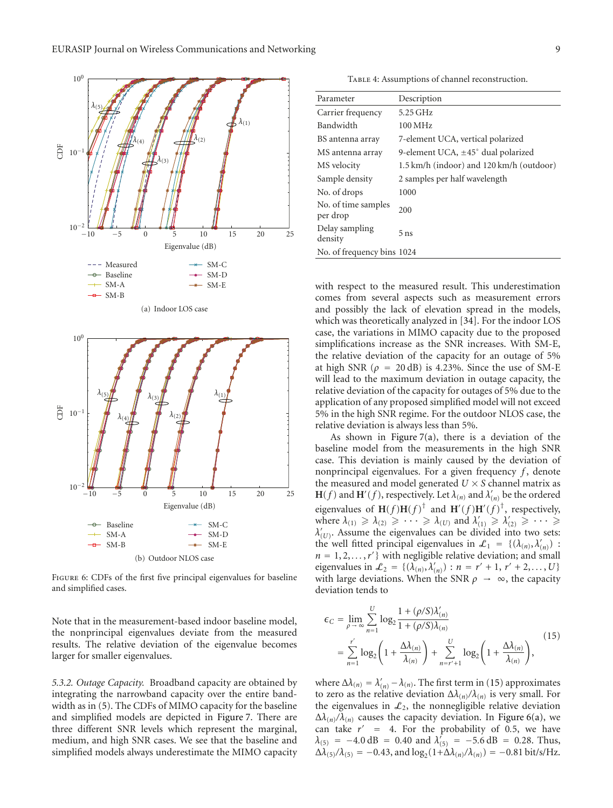

FIGURE 6: CDFs of the first five principal eigenvalues for baseline and simplified cases.

Note that in the measurement-based indoor baseline model, the nonprincipal eigenvalues deviate from the measured results. The relative deviation of the eigenvalue becomes larger for smaller eigenvalues.

*5.3.2. Outage Capacity.* Broadband capacity are obtained by integrating the narrowband capacity over the entire bandwidth as in (5). The CDFs of MIMO capacity for the baseline and simplified models are depicted in Figure 7. There are three different SNR levels which represent the marginal, medium, and high SNR cases. We see that the baseline and simplified models always underestimate the MIMO capacity

TABLE 4: Assumptions of channel reconstruction.

| Parameter                       | Description                                       |
|---------------------------------|---------------------------------------------------|
| Carrier frequency               | 5.25 GHz                                          |
| Bandwidth                       | $100 \mathrm{MHz}$                                |
| BS antenna array                | 7-element UCA, vertical polarized                 |
| MS antenna array                | 9-element UCA, $\pm$ 45 $^{\circ}$ dual polarized |
| MS velocity                     | 1.5 km/h (indoor) and 120 km/h (outdoor)          |
| Sample density                  | 2 samples per half wavelength                     |
| No. of drops                    | 1000                                              |
| No. of time samples<br>per drop | 200                                               |
| Delay sampling<br>density       | 5 <sub>ns</sub>                                   |
| No. of frequency bins 1024      |                                                   |

with respect to the measured result. This underestimation comes from several aspects such as measurement errors and possibly the lack of elevation spread in the models, which was theoretically analyzed in [34]. For the indoor LOS case, the variations in MIMO capacity due to the proposed simplifications increase as the SNR increases. With SM-E, the relative deviation of the capacity for an outage of 5% at high SNR ( $\rho = 20$  dB) is 4.23%. Since the use of SM-E will lead to the maximum deviation in outage capacity, the relative deviation of the capacity for outages of 5% due to the application of any proposed simplified model will not exceed 5% in the high SNR regime. For the outdoor NLOS case, the relative deviation is always less than 5%.

As shown in Figure  $7(a)$ , there is a deviation of the baseline model from the measurements in the high SNR case. This deviation is mainly caused by the deviation of nonprincipal eigenvalues. For a given frequency *f*, denote the measured and model generated  $U \times S$  channel matrix as **H**(*f*) and **H**<sup> $\prime$ </sup>(*f*), respectively. Let  $\lambda_{(n)}$  and  $\lambda'_{(n)}$  be the ordered eigenvalues of  $\mathbf{H}(f)\mathbf{H}(f)^{\dagger}$  and  $\mathbf{H}'(f)\mathbf{H}'(f)^{\dagger}$ , respectively, where  $\lambda_{(1)} \geqslant \lambda_{(2)} \geqslant \cdots \geqslant \lambda_{(U)}$  and  $\lambda'_{(1)} \geqslant \lambda'_{(2)} \geqslant \cdots \geqslant \lambda_{(U)}$ *λ* (*U*). Assume the eigenvalues can be divided into two sets: the well fitted principal eigenvalues in  $\mathcal{L}_1 = \{(\lambda_{(n)}, \lambda'_{(n)})\}$  $n = 1, 2, \dots, r'$  with negligible relative deviation; and small eigenvalues in  $\mathcal{L}_2 = \{(\lambda_{(n)}, \lambda'_{(n)}) : n = r' + 1, r' + 2, ..., U\}$ with large deviations. When the SNR  $\rho \rightarrow \infty$ , the capacity deviation tends to

$$
\epsilon_C = \lim_{\rho \to \infty} \sum_{n=1}^{U} \log_2 \frac{1 + (\rho/S)\lambda'_{(n)}}{1 + (\rho/S)\lambda_{(n)}}
$$
  
= 
$$
\sum_{n=1}^{r'} \log_2 \left(1 + \frac{\Delta\lambda_{(n)}}{\lambda_{(n)}}\right) + \sum_{n=r'+1}^{U} \log_2 \left(1 + \frac{\Delta\lambda_{(n)}}{\lambda_{(n)}}\right),
$$
 (15)

where  $\Delta \lambda_{(n)} = \lambda'_{(n)} - \lambda_{(n)}$ . The first term in (15) approximates to zero as the relative deviation  $\Delta\lambda_{(n)}/\lambda_{(n)}$  is very small. For the eigenvalues in  $\mathcal{L}_2$ , the nonnegligible relative deviation  $\Delta\lambda_{(n)}/\lambda_{(n)}$  causes the capacity deviation. In Figure 6(a), we can take  $r' = 4$ . For the probability of 0.5, we have  $\lambda_{(5)}$  = −4.0 dB = 0.40 and  $\lambda'_{(5)}$  = −5.6 dB = 0.28. Thus,  $\Delta\lambda_{(5)}/\lambda_{(5)} = -0.43$ , and  $\log_2(1+\Delta\lambda_{(n)}/\lambda_{(n)}) = -0.81$  bit/s/Hz.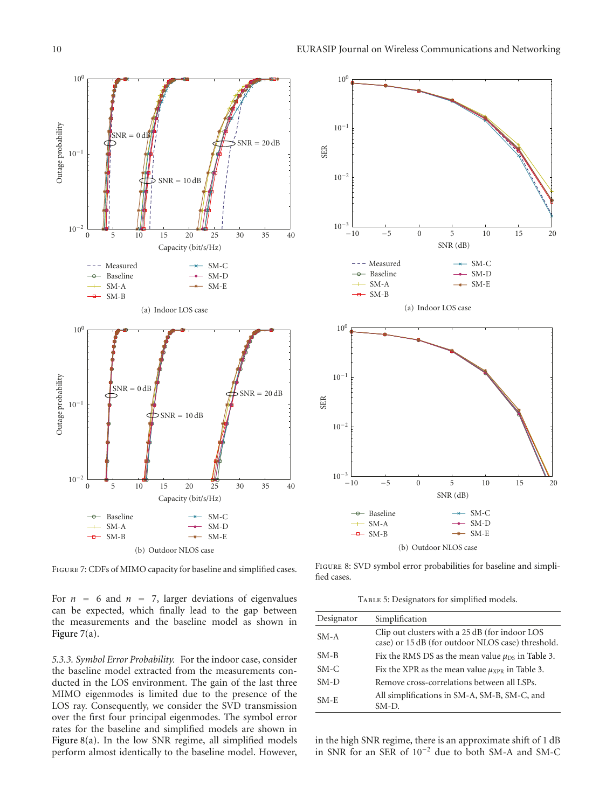

Figure 7: CDFs of MIMO capacity for baseline and simplified cases.

For  $n = 6$  and  $n = 7$ , larger deviations of eigenvalues can be expected, which finally lead to the gap between the measurements and the baseline model as shown in Figure 7(a).

*5.3.3. Symbol Error Probability.* For the indoor case, consider the baseline model extracted from the measurements conducted in the LOS environment. The gain of the last three MIMO eigenmodes is limited due to the presence of the LOS ray. Consequently, we consider the SVD transmission over the first four principal eigenmodes. The symbol error rates for the baseline and simplified models are shown in Figure 8(a). In the low SNR regime, all simplified models perform almost identically to the baseline model. However,



Figure 8: SVD symbol error probabilities for baseline and simplified cases.

TABLE 5: Designators for simplified models.

| Simplification                                                                                      |
|-----------------------------------------------------------------------------------------------------|
| Clip out clusters with a 25 dB (for indoor LOS<br>case) or 15 dB (for outdoor NLOS case) threshold. |
| Fix the RMS DS as the mean value $\mu_{DS}$ in Table 3.                                             |
| Fix the XPR as the mean value $\mu_{XPR}$ in Table 3.                                               |
| Remove cross-correlations between all LSPs.                                                         |
| All simplifications in SM-A, SM-B, SM-C, and<br>$SM-D.$                                             |
|                                                                                                     |

in the high SNR regime, there is an approximate shift of 1 dB in SNR for an SER of 10−<sup>2</sup> due to both SM-A and SM-C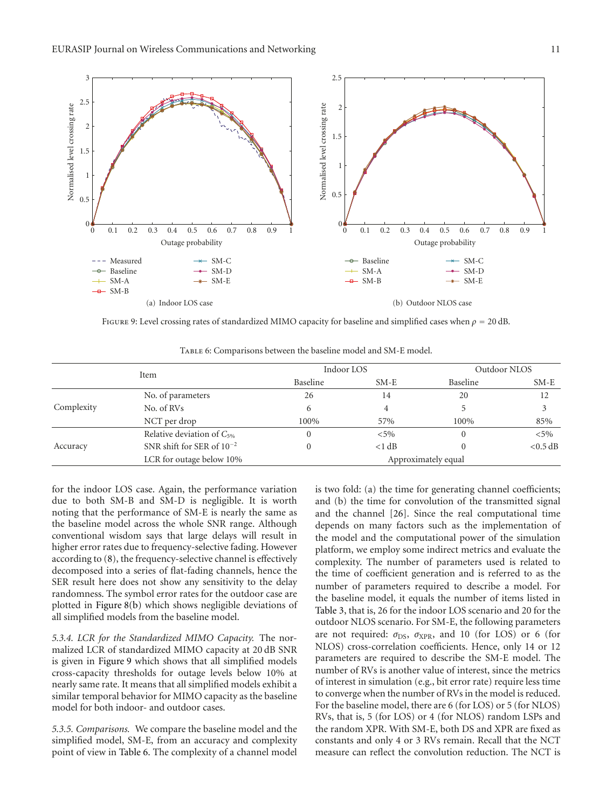

FIGURE 9: Level crossing rates of standardized MIMO capacity for baseline and simplified cases when  $\rho = 20$  dB.

| Item       |                                 | Indoor LOS          |         | Outdoor NLOS |          |
|------------|---------------------------------|---------------------|---------|--------------|----------|
|            |                                 | Baseline            | $SM-E$  | Baseline     | $SM-E$   |
| Complexity | No. of parameters               | 26                  | 14      | 20           | 12       |
|            | No. of RVs                      | 6                   |         |              |          |
|            | NCT per drop                    | 100%                | 57%     | 100%         | 85%      |
|            | Relative deviation of $C_{5\%}$ |                     | $< 5\%$ |              | $< 5\%$  |
| Accuracy   | SNR shift for SER of $10^{-2}$  |                     | < 1 dB  |              | < 0.5 dB |
|            | LCR for outage below 10%        | Approximately equal |         |              |          |

Table 6: Comparisons between the baseline model and SM-E model.

for the indoor LOS case. Again, the performance variation due to both SM-B and SM-D is negligible. It is worth noting that the performance of SM-E is nearly the same as the baseline model across the whole SNR range. Although conventional wisdom says that large delays will result in higher error rates due to frequency-selective fading. However according to (8), the frequency-selective channel is effectively decomposed into a series of flat-fading channels, hence the SER result here does not show any sensitivity to the delay randomness. The symbol error rates for the outdoor case are plotted in Figure 8(b) which shows negligible deviations of all simplified models from the baseline model.

*5.3.4. LCR for the Standardized MIMO Capacity.* The normalized LCR of standardized MIMO capacity at 20 dB SNR is given in Figure 9 which shows that all simplified models cross-capacity thresholds for outage levels below 10% at nearly same rate. It means that all simplified models exhibit a similar temporal behavior for MIMO capacity as the baseline model for both indoor- and outdoor cases.

*5.3.5. Comparisons.* We compare the baseline model and the simplified model, SM-E, from an accuracy and complexity point of view in Table 6. The complexity of a channel model

is two fold: (a) the time for generating channel coefficients; and (b) the time for convolution of the transmitted signal and the channel [26]. Since the real computational time depends on many factors such as the implementation of the model and the computational power of the simulation platform, we employ some indirect metrics and evaluate the complexity. The number of parameters used is related to the time of coefficient generation and is referred to as the number of parameters required to describe a model. For the baseline model, it equals the number of items listed in Table 3, that is, 26 for the indoor LOS scenario and 20 for the outdoor NLOS scenario. For SM-E, the following parameters are not required:  $\sigma_{DS}$ ,  $\sigma_{XPR}$ , and 10 (for LOS) or 6 (for NLOS) cross-correlation coefficients. Hence, only 14 or 12 parameters are required to describe the SM-E model. The number of RVs is another value of interest, since the metrics of interest in simulation (e.g., bit error rate) require less time to converge when the number of RVs in the model is reduced. For the baseline model, there are 6 (for LOS) or 5 (for NLOS) RVs, that is, 5 (for LOS) or 4 (for NLOS) random LSPs and the random XPR. With SM-E, both DS and XPR are fixed as constants and only 4 or 3 RVs remain. Recall that the NCT measure can reflect the convolution reduction. The NCT is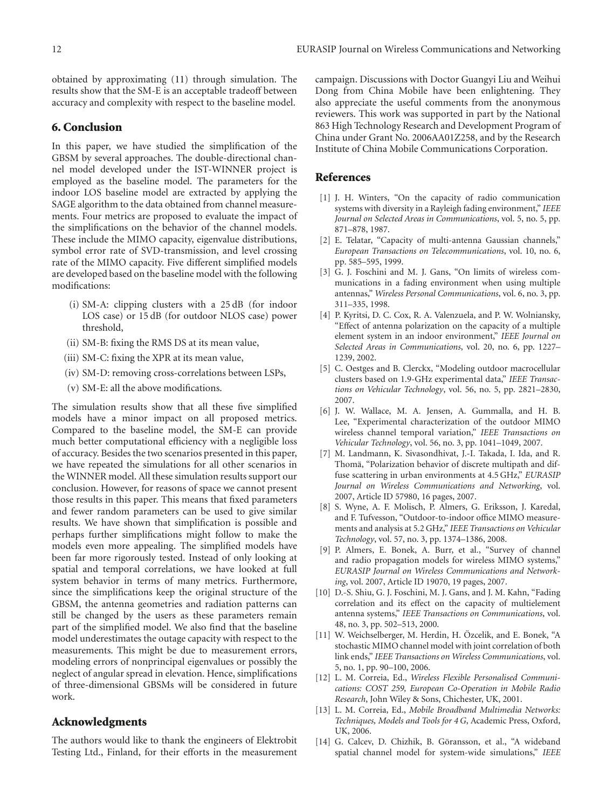obtained by approximating (11) through simulation. The results show that the SM-E is an acceptable tradeoff between accuracy and complexity with respect to the baseline model.

# **6. Conclusion**

In this paper, we have studied the simplification of the GBSM by several approaches. The double-directional channel model developed under the IST-WINNER project is employed as the baseline model. The parameters for the indoor LOS baseline model are extracted by applying the SAGE algorithm to the data obtained from channel measurements. Four metrics are proposed to evaluate the impact of the simplifications on the behavior of the channel models. These include the MIMO capacity, eigenvalue distributions, symbol error rate of SVD-transmission, and level crossing rate of the MIMO capacity. Five different simplified models are developed based on the baseline model with the following modifications:

- (i) SM-A: clipping clusters with a 25 dB (for indoor LOS case) or 15 dB (for outdoor NLOS case) power threshold,
- (ii) SM-B: fixing the RMS DS at its mean value,
- (iii) SM-C: fixing the XPR at its mean value,
- (iv) SM-D: removing cross-correlations between LSPs,
- (v) SM-E: all the above modifications.

The simulation results show that all these five simplified models have a minor impact on all proposed metrics. Compared to the baseline model, the SM-E can provide much better computational efficiency with a negligible loss of accuracy. Besides the two scenarios presented in this paper, we have repeated the simulations for all other scenarios in the WINNER model. All these simulation results support our conclusion. However, for reasons of space we cannot present those results in this paper. This means that fixed parameters and fewer random parameters can be used to give similar results. We have shown that simplification is possible and perhaps further simplifications might follow to make the models even more appealing. The simplified models have been far more rigorously tested. Instead of only looking at spatial and temporal correlations, we have looked at full system behavior in terms of many metrics. Furthermore, since the simplifications keep the original structure of the GBSM, the antenna geometries and radiation patterns can still be changed by the users as these parameters remain part of the simplified model. We also find that the baseline model underestimates the outage capacity with respect to the measurements. This might be due to measurement errors, modeling errors of nonprincipal eigenvalues or possibly the neglect of angular spread in elevation. Hence, simplifications of three-dimensional GBSMs will be considered in future work.

#### **Acknowledgments**

The authors would like to thank the engineers of Elektrobit Testing Ltd., Finland, for their efforts in the measurement campaign. Discussions with Doctor Guangyi Liu and Weihui Dong from China Mobile have been enlightening. They also appreciate the useful comments from the anonymous reviewers. This work was supported in part by the National 863 High Technology Research and Development Program of China under Grant No. 2006AA01Z258, and by the Research Institute of China Mobile Communications Corporation.

#### **References**

- [1] J. H. Winters, "On the capacity of radio communication systems with diversity in a Rayleigh fading environment," *IEEE Journal on Selected Areas in Communications*, vol. 5, no. 5, pp. 871–878, 1987.
- [2] E. Telatar, "Capacity of multi-antenna Gaussian channels," *European Transactions on Telecommunications*, vol. 10, no. 6, pp. 585–595, 1999.
- [3] G. J. Foschini and M. J. Gans, "On limits of wireless communications in a fading environment when using multiple antennas," *Wireless Personal Communications*, vol. 6, no. 3, pp. 311–335, 1998.
- [4] P. Kyritsi, D. C. Cox, R. A. Valenzuela, and P. W. Wolniansky, "Effect of antenna polarization on the capacity of a multiple element system in an indoor environment," *IEEE Journal on Selected Areas in Communications*, vol. 20, no. 6, pp. 1227– 1239, 2002.
- [5] C. Oestges and B. Clerckx, "Modeling outdoor macrocellular clusters based on 1.9-GHz experimental data," *IEEE Transactions on Vehicular Technology*, vol. 56, no. 5, pp. 2821–2830, 2007.
- [6] J. W. Wallace, M. A. Jensen, A. Gummalla, and H. B. Lee, "Experimental characterization of the outdoor MIMO wireless channel temporal variation," *IEEE Transactions on Vehicular Technology*, vol. 56, no. 3, pp. 1041–1049, 2007.
- [7] M. Landmann, K. Sivasondhivat, J.-I. Takada, I. Ida, and R. Thomä, "Polarization behavior of discrete multipath and diffuse scattering in urban environments at 4.5 GHz," *EURASIP Journal on Wireless Communications and Networking*, vol. 2007, Article ID 57980, 16 pages, 2007.
- [8] S. Wyne, A. F. Molisch, P. Almers, G. Eriksson, J. Karedal, and F. Tufvesson, "Outdoor-to-indoor office MIMO measurements and analysis at 5.2 GHz," *IEEE Transactions on Vehicular Technology*, vol. 57, no. 3, pp. 1374–1386, 2008.
- [9] P. Almers, E. Bonek, A. Burr, et al., "Survey of channel and radio propagation models for wireless MIMO systems," *EURASIP Journal on Wireless Communications and Networking*, vol. 2007, Article ID 19070, 19 pages, 2007.
- [10] D.-S. Shiu, G. J. Foschini, M. J. Gans, and J. M. Kahn, "Fading correlation and its effect on the capacity of multielement antenna systems," *IEEE Transactions on Communications*, vol. 48, no. 3, pp. 502–513, 2000.
- [11] W. Weichselberger, M. Herdin, H. Özcelik, and E. Bonek, "A stochastic MIMO channel model with joint correlation of both link ends," *IEEE Transactions on Wireless Communications*, vol. 5, no. 1, pp. 90–100, 2006.
- [12] L. M. Correia, Ed., *Wireless Flexible Personalised Communications: COST 259, European Co-Operation in Mobile Radio Research*, John Wiley & Sons, Chichester, UK, 2001.
- [13] L. M. Correia, Ed., *Mobile Broadband Multimedia Networks: Techniques, Models and Tools for 4 G*, Academic Press, Oxford, UK, 2006.
- [14] G. Calcev, D. Chizhik, B. Göransson, et al., "A wideband spatial channel model for system-wide simulations," *IEEE*